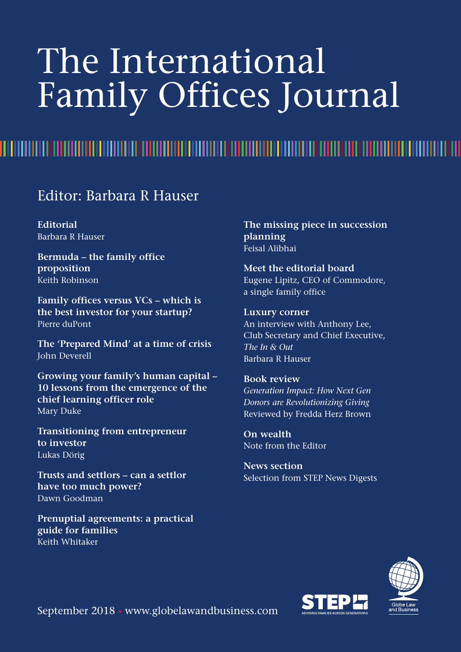# The International Family Offices Journal

<u> Alan tahun kabupatèn Tanggun Kabupatèn Kabupatèn Kabupatèn Kabupatèn Kabupatèn Kabupatèn Kabupatèn Ka</u>

### Editor: Barbara R Hauser

**Editorial** Barbara R Hauser

**Bermuda – the family office proposition** Keith Robinson

**Family offices versus VCs – which is the best investor for your startup?** Pierre duPont

**The 'Prepared Mind' at a time of crisis** John Deverell

**Growing your family's human capital – 10 lessons from the emergence of the chief learning officer role** Mary Duke

**Transitioning from entrepreneur to investor** Lukas Dörig

**Trusts and settlors – can a settlor have too much power?** Dawn Goodman

**Prenuptial agreements: a practical guide for families** Keith Whitaker

**The missing piece in succession planning** Feisal Alibhai

**Meet the editorial board** Eugene Lipitz, CEO of Commodore, a single family office

**Luxury corner** An interview with Anthony Lee, Club Secretary and Chief Executive, *The In & Out* Barbara R Hauser

**Book review** *Generation Impact: How Next Gen Donors are Revolutionizing Giving* Reviewed by Fredda Herz Brown

**On wealth** Note from the Editor

**News section** Selection from STEP News Digests

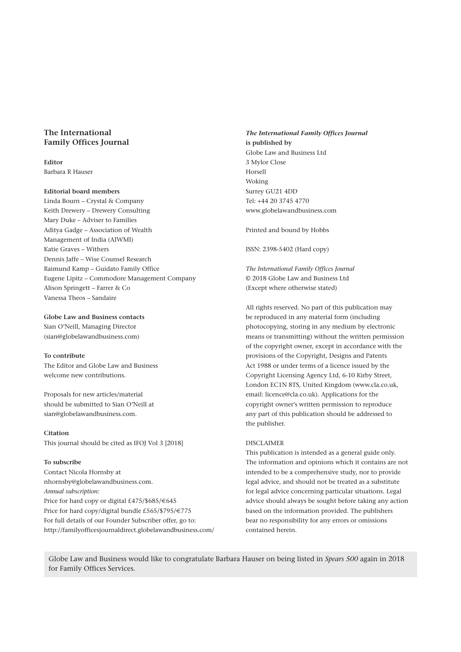### **The International Family Offices Journal**

### **Editor** Barbara R Hauser

### **Editorial board members**

Linda Bourn – Crystal & Company Keith Drewery – Drewery Consulting Mary Duke – Adviser to Families Aditya Gadge – Association of Wealth Management of India (AIWMI) Katie Graves – Withers Dennis Jaffe – Wise Counsel Research Raimund Kamp – Guidato Family Office Eugene Lipitz – Commodore Management Company Alison Springett – Farrer & Co Vanessa Theos – Sandaire

#### **Globe Law and Business contacts**

Sian O'Neill, Managing Director (sian@globelawandbusiness.com)

### **To contribute**

The Editor and Globe Law and Business welcome new contributions.

Proposals for new articles/material should be submitted to Sian O'Neill at sian@globelawandbusiness.com.

#### **Citation**

This journal should be cited as IFOJ Vol 3 [2018]

### **To subscribe**

Contact Nicola Hornsby at nhornsby@globelawandbusiness.com. *Annual subscription:* Price for hard copy or digital £475/\$685/€645 Price for hard copy/digital bundle £565/\$795/€775 For full details of our Founder Subscriber offer, go to: http://familyofficesjournaldirect.globelawandbusiness.com/ *The International Family Offices Journal* **is published by** Globe Law and Business Ltd 3 Mylor Close Horsell Woking Surrey GU21 4DD Tel: +44 20 3745 4770 www.globelawandbusiness.com

Printed and bound by Hobbs

ISSN: 2398-5402 (Hard copy)

*The International Family Offices Journal* © 2018 Globe Law and Business Ltd (Except where otherwise stated)

All rights reserved. No part of this publication may be reproduced in any material form (including photocopying, storing in any medium by electronic means or transmitting) without the written permission of the copyright owner, except in accordance with the provisions of the Copyright, Designs and Patents Act 1988 or under terms of a licence issued by the Copyright Licensing Agency Ltd, 6-10 Kirby Street, London EC1N 8TS, United Kingdom (www.cla.co.uk, email: licence@cla.co.uk). Applications for the copyright owner's written permission to reproduce any part of this publication should be addressed to the publisher.

#### DISCLAIMER

This publication is intended as a general guide only. The information and opinions which it contains are not intended to be a comprehensive study, nor to provide legal advice, and should not be treated as a substitute for legal advice concerning particular situations. Legal advice should always be sought before taking any action based on the information provided. The publishers bear no responsibility for any errors or omissions contained herein.

Globe Law and Business would like to congratulate Barbara Hauser on being listed in *Spears 500* again in 2018 for Family Offices Services.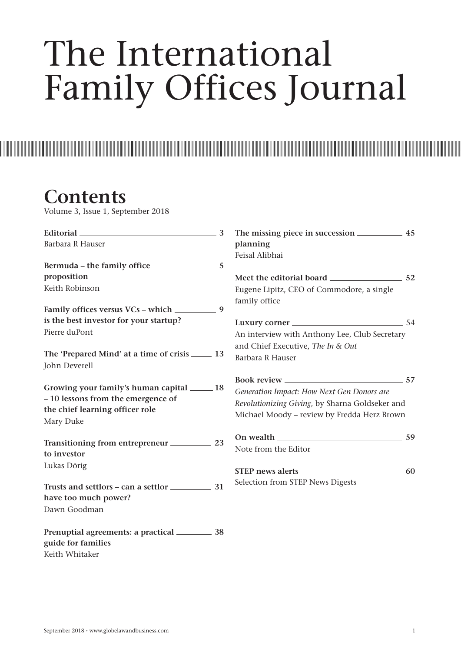# The International Family Offices Journal

### **Contents**

Volume 3, Issue 1, September 2018

| Editorial 23                                      |              |                                                 |    |
|---------------------------------------------------|--------------|-------------------------------------------------|----|
| Barbara R Hauser                                  |              | planning                                        |    |
|                                                   |              | Feisal Alibhai                                  |    |
|                                                   |              |                                                 |    |
| proposition                                       |              |                                                 |    |
| Keith Robinson                                    |              | Eugene Lipitz, CEO of Commodore, a single       |    |
|                                                   |              | family office                                   |    |
| Family offices versus VCs - which __________      | $\mathbf{Q}$ |                                                 |    |
| is the best investor for your startup?            |              |                                                 |    |
| Pierre duPont                                     |              | An interview with Anthony Lee, Club Secretary   |    |
|                                                   |              | and Chief Executive, The In & Out               |    |
| The 'Prepared Mind' at a time of crisis ______ 13 |              | Barbara R Hauser                                |    |
| John Deverell                                     |              |                                                 |    |
|                                                   |              |                                                 |    |
| Growing your family's human capital ______ 18     |              | Generation Impact: How Next Gen Donors are      |    |
| - 10 lessons from the emergence of                |              | Revolutionizing Giving, by Sharna Goldseker and |    |
| the chief learning officer role                   |              | Michael Moody - review by Fredda Herz Brown     |    |
| Mary Duke                                         |              |                                                 |    |
|                                                   |              |                                                 |    |
|                                                   |              | Note from the Editor                            |    |
| to investor                                       |              |                                                 |    |
| Lukas Dörig                                       |              | STEP news alerts                                | 60 |
|                                                   |              | Selection from STEP News Digests                |    |
|                                                   |              |                                                 |    |
| have too much power?                              |              |                                                 |    |
| Dawn Goodman                                      |              |                                                 |    |
| Prenuptial agreements: a practical ___________ 38 |              |                                                 |    |
| guide for families                                |              |                                                 |    |
| Keith Whitaker                                    |              |                                                 |    |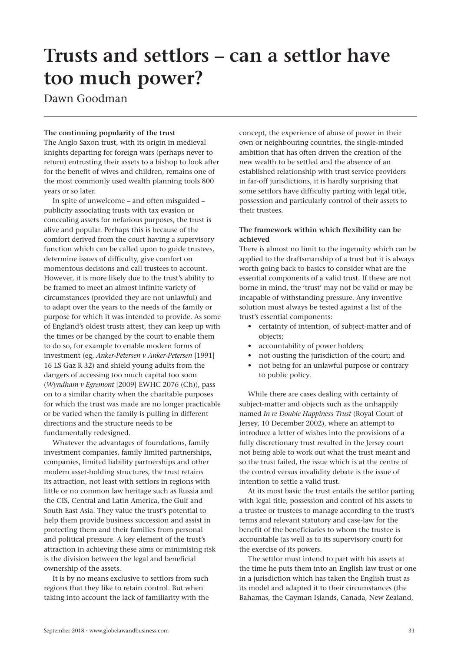### **Trusts and settlors – can a settlor have too much power?**

Dawn Goodman

### **The continuing popularity of the trust**

The Anglo Saxon trust, with its origin in medieval knights departing for foreign wars (perhaps never to return) entrusting their assets to a bishop to look after for the benefit of wives and children, remains one of the most commonly used wealth planning tools 800 years or so later.

In spite of unwelcome – and often misguided – publicity associating trusts with tax evasion or concealing assets for nefarious purposes, the trust is alive and popular. Perhaps this is because of the comfort derived from the court having a supervisory function which can be called upon to guide trustees, determine issues of difficulty, give comfort on momentous decisions and call trustees to account. However, it is more likely due to the trust's ability to be framed to meet an almost infinite variety of circumstances (provided they are not unlawful) and to adapt over the years to the needs of the family or purpose for which it was intended to provide. As some of England's oldest trusts attest, they can keep up with the times or be changed by the court to enable them to do so, for example to enable modern forms of investment (eg, *Anker-Petersen v Anker-Petersen* [1991] 16 LS Gaz R 32) and shield young adults from the dangers of accessing too much capital too soon (*Wyndham v Egremont* [2009] EWHC 2076 (Ch)), pass on to a similar charity when the charitable purposes for which the trust was made are no longer practicable or be varied when the family is pulling in different directions and the structure needs to be fundamentally redesigned.

Whatever the advantages of foundations, family investment companies, family limited partnerships, companies, limited liability partnerships and other modern asset-holding structures, the trust retains its attraction, not least with settlors in regions with little or no common law heritage such as Russia and the CIS, Central and Latin America, the Gulf and South East Asia. They value the trust's potential to help them provide business succession and assist in protecting them and their families from personal and political pressure. A key element of the trust's attraction in achieving these aims or minimising risk is the division between the legal and beneficial ownership of the assets.

It is by no means exclusive to settlors from such regions that they like to retain control. But when taking into account the lack of familiarity with the

concept, the experience of abuse of power in their own or neighbouring countries, the single-minded ambition that has often driven the creation of the new wealth to be settled and the absence of an established relationship with trust service providers in far-off jurisdictions, it is hardly surprising that some settlors have difficulty parting with legal title, possession and particularly control of their assets to their trustees.

### **The framework within which flexibility can be achieved**

There is almost no limit to the ingenuity which can be applied to the draftsmanship of a trust but it is always worth going back to basics to consider what are the essential components of a valid trust. If these are not borne in mind, the 'trust' may not be valid or may be incapable of withstanding pressure. Any inventive solution must always be tested against a list of the trust's essential components:

- certainty of intention, of subject-matter and of objects;
- accountability of power holders;
- not ousting the jurisdiction of the court; and
- not being for an unlawful purpose or contrary to public policy.

While there are cases dealing with certainty of subject-matter and objects such as the unhappily named *In re Double Happiness Trust* (Royal Court of Jersey, 10 December 2002), where an attempt to introduce a letter of wishes into the provisions of a fully discretionary trust resulted in the Jersey court not being able to work out what the trust meant and so the trust failed, the issue which is at the centre of the control versus invalidity debate is the issue of intention to settle a valid trust.

At its most basic the trust entails the settlor parting with legal title, possession and control of his assets to a trustee or trustees to manage according to the trust's terms and relevant statutory and case-law for the benefit of the beneficiaries to whom the trustee is accountable (as well as to its supervisory court) for the exercise of its powers.

The settlor must intend to part with his assets at the time he puts them into an English law trust or one in a jurisdiction which has taken the English trust as its model and adapted it to their circumstances (the Bahamas, the Cayman Islands, Canada, New Zealand,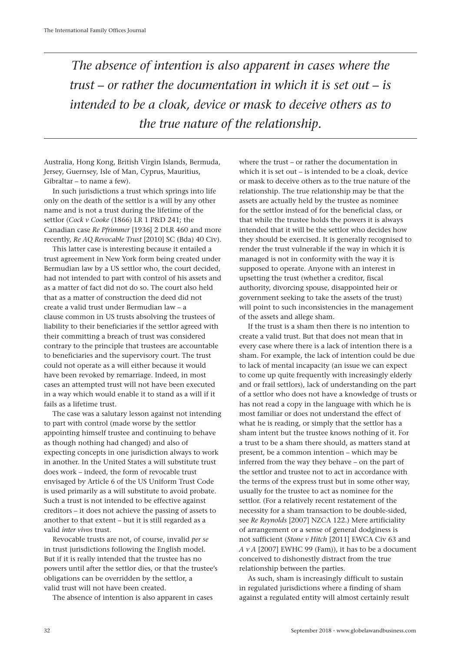*The absence of intention is also apparent in cases where the trust – or rather the documentation in which it is set out – is intended to be a cloak, device or mask to deceive others as to the true nature of the relationship.*

Australia, Hong Kong, British Virgin Islands, Bermuda, Jersey, Guernsey, Isle of Man, Cyprus, Mauritius, Gibraltar – to name a few).

In such jurisdictions a trust which springs into life only on the death of the settlor is a will by any other name and is not a trust during the lifetime of the settlor (*Cock v Cooke* (1866) LR 1 P&D 241; the Canadian case *Re Pfrimmer* [1936] 2 DLR 460 and more recently, *Re AQ Revocable Trust* [2010] SC (Bda) 40 Civ).

This latter case is interesting because it entailed a trust agreement in New York form being created under Bermudian law by a US settlor who, the court decided, had not intended to part with control of his assets and as a matter of fact did not do so. The court also held that as a matter of construction the deed did not create a valid trust under Bermudian law – a clause common in US trusts absolving the trustees of liability to their beneficiaries if the settlor agreed with their committing a breach of trust was considered contrary to the principle that trustees are accountable to beneficiaries and the supervisory court. The trust could not operate as a will either because it would have been revoked by remarriage. Indeed, in most cases an attempted trust will not have been executed in a way which would enable it to stand as a will if it fails as a lifetime trust.

The case was a salutary lesson against not intending to part with control (made worse by the settlor appointing himself trustee and continuing to behave as though nothing had changed) and also of expecting concepts in one jurisdiction always to work in another. In the United States a will substitute trust does work – indeed, the form of revocable trust envisaged by Article 6 of the US Uniform Trust Code is used primarily as a will substitute to avoid probate. Such a trust is not intended to be effective against creditors – it does not achieve the passing of assets to another to that extent – but it is still regarded as a valid *inter vivos* trust.

Revocable trusts are not, of course, invalid *per se* in trust jurisdictions following the English model. But if it is really intended that the trustee has no powers until after the settlor dies, or that the trustee's obligations can be overridden by the settlor, a valid trust will not have been created.

The absence of intention is also apparent in cases

where the trust – or rather the documentation in which it is set out – is intended to be a cloak, device or mask to deceive others as to the true nature of the relationship. The true relationship may be that the assets are actually held by the trustee as nominee for the settlor instead of for the beneficial class, or that while the trustee holds the powers it is always intended that it will be the settlor who decides how they should be exercised. It is generally recognised to render the trust vulnerable if the way in which it is managed is not in conformity with the way it is supposed to operate. Anyone with an interest in upsetting the trust (whether a creditor, fiscal authority, divorcing spouse, disappointed heir or government seeking to take the assets of the trust) will point to such inconsistencies in the management of the assets and allege sham.

If the trust is a sham then there is no intention to create a valid trust. But that does not mean that in every case where there is a lack of intention there is a sham. For example, the lack of intention could be due to lack of mental incapacity (an issue we can expect to come up quite frequently with increasingly elderly and or frail settlors), lack of understanding on the part of a settlor who does not have a knowledge of trusts or has not read a copy in the language with which he is most familiar or does not understand the effect of what he is reading, or simply that the settlor has a sham intent but the trustee knows nothing of it. For a trust to be a sham there should, as matters stand at present, be a common intention – which may be inferred from the way they behave – on the part of the settlor and trustee not to act in accordance with the terms of the express trust but in some other way, usually for the trustee to act as nominee for the settlor. (For a relatively recent restatement of the necessity for a sham transaction to be double-sided, see *Re Reynolds* [2007] NZCA 122.) Mere artificiality of arrangement or a sense of general dodginess is not sufficient (*Stone v Hitch* [2011] EWCA Civ 63 and  $A \nu A$  [2007] EWHC 99 (Fam)), it has to be a document conceived to dishonestly distract from the true relationship between the parties.

As such, sham is increasingly difficult to sustain in regulated jurisdictions where a finding of sham against a regulated entity will almost certainly result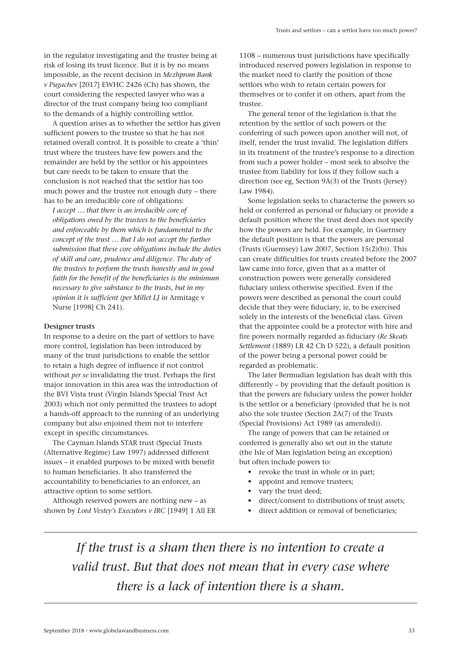in the regulator investigating and the trustee being at risk of losing its trust licence. But it is by no means impossible, as the recent decision in *Mezhprom Bank v Pugachev* [2017] EWHC 2426 (Ch) has shown, the court considering the respected lawyer who was a director of the trust company being too compliant to the demands of a highly controlling settlor.

A question arises as to whether the settlor has given sufficient powers to the trustee so that he has not retained overall control. It is possible to create a 'thin' trust where the trustees have few powers and the remainder are held by the settlor or his appointees but care needs to be taken to ensure that the conclusion is not reached that the settlor has too much power and the trustee not enough duty – there has to be an irreducible core of obligations:

*I accept … that there is an irreducible core of obligations owed by the trustees to the beneficiaries and enforceable by them which is fundamental to the concept of the trust … But I do not accept the further submission that these core obligations include the duties of skill and care, prudence and diligence. The duty of the trustees to perform the trusts honestly and in good faith for the benefit of the beneficiaries is the minimum necessary to give substance to the trusts, but in my opinion it is sufficient (per Millet LJ in* Armitage v Nurse [1998] Ch 241).

### **Designer trusts**

In response to a desire on the part of settlors to have more control, legislation has been introduced by many of the trust jurisdictions to enable the settlor to retain a high degree of influence if not control without *per se* invalidating the trust. Perhaps the first major innovation in this area was the introduction of the BVI Vista trust (Virgin Islands Special Trust Act 2003) which not only permitted the trustees to adopt a hands-off approach to the running of an underlying company but also enjoined them not to interfere except in specific circumstances.

The Cayman Islands STAR trust (Special Trusts (Alternative Regime) Law 1997) addressed different issues – it enabled purposes to be mixed with benefit to human beneficiaries. It also transferred the accountability to beneficiaries to an enforcer, an attractive option to some settlors.

Although reserved powers are nothing new – as shown by *Lord Vestey's Executors v IRC* [1949] 1 All ER

1108 – numerous trust jurisdictions have specifically introduced reserved powers legislation in response to the market need to clarify the position of those settlors who wish to retain certain powers for themselves or to confer it on others, apart from the trustee.

The general tenor of the legislation is that the retention by the settlor of such powers or the conferring of such powers upon another will not, of itself, render the trust invalid. The legislation differs in its treatment of the trustee's response to a direction from such a power holder – most seek to absolve the trustee from liability for loss if they follow such a direction (see eg, Section 9A(3) of the Trusts (Jersey) Law 1984).

Some legislation seeks to characterise the powers so held or conferred as personal or fiduciary or provide a default position where the trust deed does not specify how the powers are held. For example, in Guernsey the default position is that the powers are personal (Trusts (Guernsey) Law 2007, Section 15(2)(b)). This can create difficulties for trusts created before the 2007 law came into force, given that as a matter of construction powers were generally considered fiduciary unless otherwise specified. Even if the powers were described as personal the court could decide that they were fiduciary, ie, to be exercised solely in the interests of the beneficial class. Given that the appointee could be a protector with hire and fire powers normally regarded as fiduciary (*Re Skeats Settlement* (1889) LR 42 Ch D 522), a default position of the power being a personal power could be regarded as problematic.

The later Bermudian legislation has dealt with this differently – by providing that the default position is that the powers are fiduciary unless the power holder is the settlor or a beneficiary (provided that he is not also the sole trustee (Section 2A(7) of the Trusts (Special Provisions) Act 1989 (as amended)).

The range of powers that can be retained or conferred is generally also set out in the statute (the Isle of Man legislation being an exception) but often include powers to:

- revoke the trust in whole or in part;
- appoint and remove trustees;
- vary the trust deed;
- direct/consent to distributions of trust assets;
- direct addition or removal of beneficiaries;

*If the trust is a sham then there is no intention to create a valid trust. But that does not mean that in every case where there is a lack of intention there is a sham.*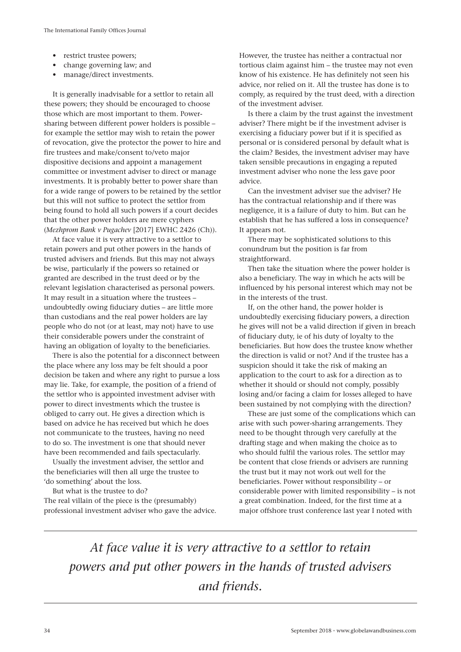- restrict trustee powers;
- change governing law; and
- manage/direct investments.

It is generally inadvisable for a settlor to retain all these powers; they should be encouraged to choose those which are most important to them. Powersharing between different power holders is possible – for example the settlor may wish to retain the power of revocation, give the protector the power to hire and fire trustees and make/consent to/veto major dispositive decisions and appoint a management committee or investment adviser to direct or manage investments. It is probably better to power share than for a wide range of powers to be retained by the settlor but this will not suffice to protect the settlor from being found to hold all such powers if a court decides that the other power holders are mere cyphers (*Mezhprom Bank v Pugachev* [2017] EWHC 2426 (Ch)).

At face value it is very attractive to a settlor to retain powers and put other powers in the hands of trusted advisers and friends. But this may not always be wise, particularly if the powers so retained or granted are described in the trust deed or by the relevant legislation characterised as personal powers. It may result in a situation where the trustees – undoubtedly owing fiduciary duties – are little more than custodians and the real power holders are lay people who do not (or at least, may not) have to use their considerable powers under the constraint of having an obligation of loyalty to the beneficiaries.

There is also the potential for a disconnect between the place where any loss may be felt should a poor decision be taken and where any right to pursue a loss may lie. Take, for example, the position of a friend of the settlor who is appointed investment adviser with power to direct investments which the trustee is obliged to carry out. He gives a direction which is based on advice he has received but which he does not communicate to the trustees, having no need to do so. The investment is one that should never have been recommended and fails spectacularly.

Usually the investment adviser, the settlor and the beneficiaries will then all urge the trustee to 'do something' about the loss.

But what is the trustee to do? The real villain of the piece is the (presumably) professional investment adviser who gave the advice.

However, the trustee has neither a contractual nor tortious claim against him – the trustee may not even know of his existence. He has definitely not seen his advice, nor relied on it. All the trustee has done is to comply, as required by the trust deed, with a direction of the investment adviser.

Is there a claim by the trust against the investment adviser? There might be if the investment adviser is exercising a fiduciary power but if it is specified as personal or is considered personal by default what is the claim? Besides, the investment adviser may have taken sensible precautions in engaging a reputed investment adviser who none the less gave poor advice.

Can the investment adviser sue the adviser? He has the contractual relationship and if there was negligence, it is a failure of duty to him. But can he establish that he has suffered a loss in consequence? It appears not.

There may be sophisticated solutions to this conundrum but the position is far from straightforward.

Then take the situation where the power holder is also a beneficiary. The way in which he acts will be influenced by his personal interest which may not be in the interests of the trust.

If, on the other hand, the power holder is undoubtedly exercising fiduciary powers, a direction he gives will not be a valid direction if given in breach of fiduciary duty, ie of his duty of loyalty to the beneficiaries. But how does the trustee know whether the direction is valid or not? And if the trustee has a suspicion should it take the risk of making an application to the court to ask for a direction as to whether it should or should not comply, possibly losing and/or facing a claim for losses alleged to have been sustained by not complying with the direction?

These are just some of the complications which can arise with such power-sharing arrangements. They need to be thought through very carefully at the drafting stage and when making the choice as to who should fulfil the various roles. The settlor may be content that close friends or advisers are running the trust but it may not work out well for the beneficiaries. Power without responsibility – or considerable power with limited responsibility – is not a great combination. Indeed, for the first time at a major offshore trust conference last year I noted with

*At face value it is very attractive to a settlor to retain powers and put other powers in the hands of trusted advisers and friends.*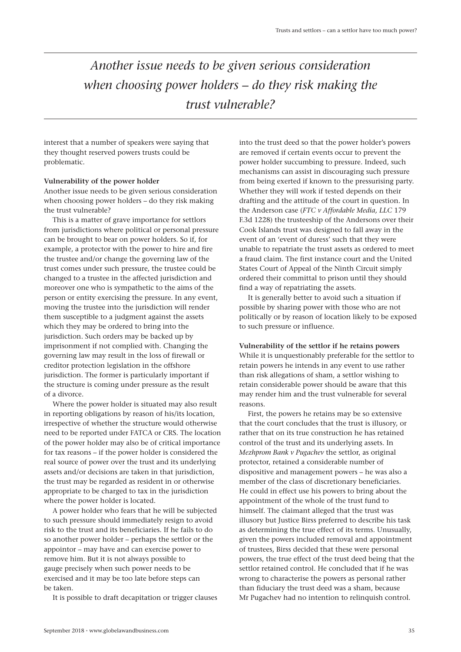### *Another issue needs to be given serious consideration when choosing power holders – do they risk making the trust vulnerable?*

interest that a number of speakers were saying that they thought reserved powers trusts could be problematic.

### **Vulnerability of the power holder**

Another issue needs to be given serious consideration when choosing power holders – do they risk making the trust vulnerable?

This is a matter of grave importance for settlors from jurisdictions where political or personal pressure can be brought to bear on power holders. So if, for example, a protector with the power to hire and fire the trustee and/or change the governing law of the trust comes under such pressure, the trustee could be changed to a trustee in the affected jurisdiction and moreover one who is sympathetic to the aims of the person or entity exercising the pressure. In any event, moving the trustee into the jurisdiction will render them susceptible to a judgment against the assets which they may be ordered to bring into the jurisdiction. Such orders may be backed up by imprisonment if not complied with. Changing the governing law may result in the loss of firewall or creditor protection legislation in the offshore jurisdiction. The former is particularly important if the structure is coming under pressure as the result of a divorce.

Where the power holder is situated may also result in reporting obligations by reason of his/its location, irrespective of whether the structure would otherwise need to be reported under FATCA or CRS. The location of the power holder may also be of critical importance for tax reasons – if the power holder is considered the real source of power over the trust and its underlying assets and/or decisions are taken in that jurisdiction, the trust may be regarded as resident in or otherwise appropriate to be charged to tax in the jurisdiction where the power holder is located.

A power holder who fears that he will be subjected to such pressure should immediately resign to avoid risk to the trust and its beneficiaries. If he fails to do so another power holder – perhaps the settlor or the appointor – may have and can exercise power to remove him. But it is not always possible to gauge precisely when such power needs to be exercised and it may be too late before steps can be taken.

It is possible to draft decapitation or trigger clauses

into the trust deed so that the power holder's powers are removed if certain events occur to prevent the power holder succumbing to pressure. Indeed, such mechanisms can assist in discouraging such pressure from being exerted if known to the pressurising party. Whether they will work if tested depends on their drafting and the attitude of the court in question. In the Anderson case (*FTC v Affordable Media, LLC* 179 F.3d 1228) the trusteeship of the Andersons over their Cook Islands trust was designed to fall away in the event of an 'event of duress' such that they were unable to repatriate the trust assets as ordered to meet a fraud claim. The first instance court and the United States Court of Appeal of the Ninth Circuit simply ordered their committal to prison until they should find a way of repatriating the assets.

It is generally better to avoid such a situation if possible by sharing power with those who are not politically or by reason of location likely to be exposed to such pressure or influence.

### **Vulnerability of the settlor if he retains powers**

While it is unquestionably preferable for the settlor to retain powers he intends in any event to use rather than risk allegations of sham, a settlor wishing to retain considerable power should be aware that this may render him and the trust vulnerable for several reasons.

First, the powers he retains may be so extensive that the court concludes that the trust is illusory, or rather that on its true construction he has retained control of the trust and its underlying assets. In *Mezhprom Bank v Pugachev* the settlor, as original protector, retained a considerable number of dispositive and management powers – he was also a member of the class of discretionary beneficiaries. He could in effect use his powers to bring about the appointment of the whole of the trust fund to himself. The claimant alleged that the trust was illusory but Justice Birss preferred to describe his task as determining the true effect of its terms. Unusually, given the powers included removal and appointment of trustees, Birss decided that these were personal powers, the true effect of the trust deed being that the settlor retained control. He concluded that if he was wrong to characterise the powers as personal rather than fiduciary the trust deed was a sham, because Mr Pugachev had no intention to relinquish control.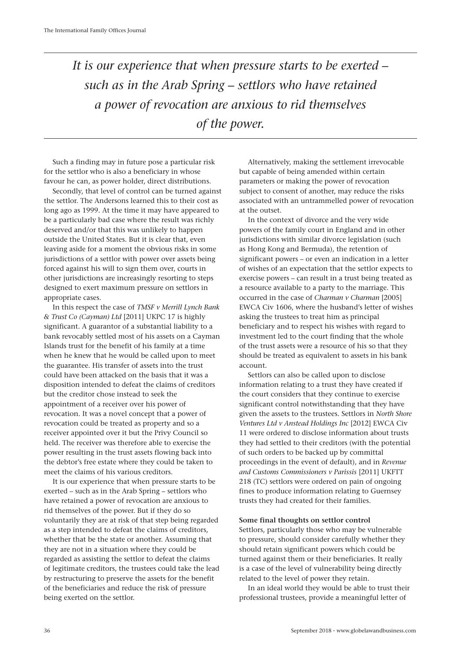*It is our experience that when pressure starts to be exerted – such as in the Arab Spring – settlors who have retained a power of revocation are anxious to rid themselves of the power.*

Such a finding may in future pose a particular risk for the settlor who is also a beneficiary in whose favour he can, as power holder, direct distributions.

Secondly, that level of control can be turned against the settlor. The Andersons learned this to their cost as long ago as 1999. At the time it may have appeared to be a particularly bad case where the result was richly deserved and/or that this was unlikely to happen outside the United States. But it is clear that, even leaving aside for a moment the obvious risks in some jurisdictions of a settlor with power over assets being forced against his will to sign them over, courts in other jurisdictions are increasingly resorting to steps designed to exert maximum pressure on settlors in appropriate cases.

In this respect the case of *TMSF v Merrill Lynch Bank & Trust Co (Cayman) Ltd* [2011] UKPC 17 is highly significant. A guarantor of a substantial liability to a bank revocably settled most of his assets on a Cayman Islands trust for the benefit of his family at a time when he knew that he would be called upon to meet the guarantee. His transfer of assets into the trust could have been attacked on the basis that it was a disposition intended to defeat the claims of creditors but the creditor chose instead to seek the appointment of a receiver over his power of revocation. It was a novel concept that a power of revocation could be treated as property and so a receiver appointed over it but the Privy Council so held. The receiver was therefore able to exercise the power resulting in the trust assets flowing back into the debtor's free estate where they could be taken to meet the claims of his various creditors.

It is our experience that when pressure starts to be exerted – such as in the Arab Spring – settlors who have retained a power of revocation are anxious to rid themselves of the power. But if they do so voluntarily they are at risk of that step being regarded as a step intended to defeat the claims of creditors, whether that be the state or another. Assuming that they are not in a situation where they could be regarded as assisting the settlor to defeat the claims of legitimate creditors, the trustees could take the lead by restructuring to preserve the assets for the benefit of the beneficiaries and reduce the risk of pressure being exerted on the settlor.

Alternatively, making the settlement irrevocable but capable of being amended within certain parameters or making the power of revocation subject to consent of another, may reduce the risks associated with an untrammelled power of revocation at the outset.

In the context of divorce and the very wide powers of the family court in England and in other jurisdictions with similar divorce legislation (such as Hong Kong and Bermuda), the retention of significant powers – or even an indication in a letter of wishes of an expectation that the settlor expects to exercise powers – can result in a trust being treated as a resource available to a party to the marriage. This occurred in the case of *Charman v Charman* [2005] EWCA Civ 1606, where the husband's letter of wishes asking the trustees to treat him as principal beneficiary and to respect his wishes with regard to investment led to the court finding that the whole of the trust assets were a resource of his so that they should be treated as equivalent to assets in his bank account.

Settlors can also be called upon to disclose information relating to a trust they have created if the court considers that they continue to exercise significant control notwithstanding that they have given the assets to the trustees. Settlors in *North Shore Ventures Ltd v Anstead Holdings Inc* [2012] EWCA Civ 11 were ordered to disclose information about trusts they had settled to their creditors (with the potential of such orders to be backed up by committal proceedings in the event of default), and in *Revenue and Customs Commissioners v Parissis* [2011] UKFTT 218 (TC) settlors were ordered on pain of ongoing fines to produce information relating to Guernsey trusts they had created for their families.

### **Some final thoughts on settlor control**

Settlors, particularly those who may be vulnerable to pressure, should consider carefully whether they should retain significant powers which could be turned against them or their beneficiaries. It really is a case of the level of vulnerability being directly related to the level of power they retain.

In an ideal world they would be able to trust their professional trustees, provide a meaningful letter of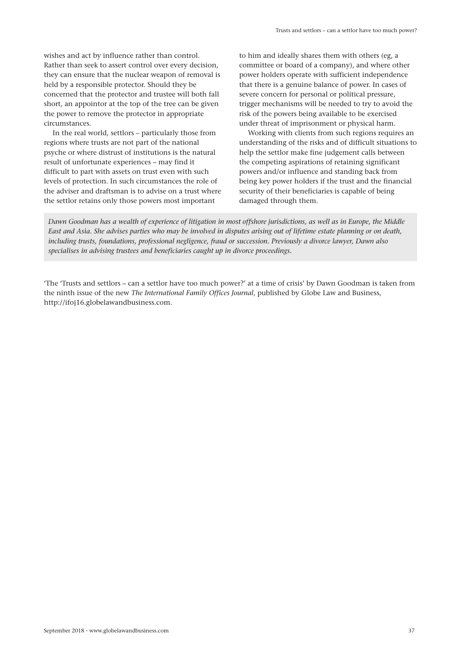wishes and act by influence rather than control. Rather than seek to assert control over every decision, they can ensure that the nuclear weapon of removal is held by a responsible protector. Should they be concerned that the protector and trustee will both fall short, an appointor at the top of the tree can be given the power to remove the protector in appropriate circumstances.

In the real world, settlors – particularly those from regions where trusts are not part of the national psyche or where distrust of institutions is the natural result of unfortunate experiences – may find it difficult to part with assets on trust even with such levels of protection. In such circumstances the role of the adviser and draftsman is to advise on a trust where the settlor retains only those powers most important

to him and ideally shares them with others (eg, a committee or board of a company), and where other power holders operate with sufficient independence that there is a genuine balance of power. In cases of severe concern for personal or political pressure, trigger mechanisms will be needed to try to avoid the risk of the powers being available to be exercised under threat of imprisonment or physical harm.

Working with clients from such regions requires an understanding of the risks and of difficult situations to help the settlor make fine judgement calls between the competing aspirations of retaining significant powers and/or influence and standing back from being key power holders if the trust and the financial security of their beneficiaries is capable of being damaged through them.

Dawn Goodman has a wealth of experience of litigation in most offshore jurisdictions, as well as in Europe, the Middle East and Asia. She advises parties who may be involved in disputes arising out of lifetime estate planning or on death, *including trusts, foundations, professional negligence, fraud or succession. Previously a divorce lawyer, Dawn also specialises in advising trustees and beneficiaries caught up in divorce proceedings.*

'The 'Trusts and settlors – can a settlor have too much power?' at a time of crisis' by Dawn Goodman is taken from the ninth issue of the new *The International Family Offices Journal*, published by Globe Law and Business, http://ifoj16.globelawandbusiness.com.